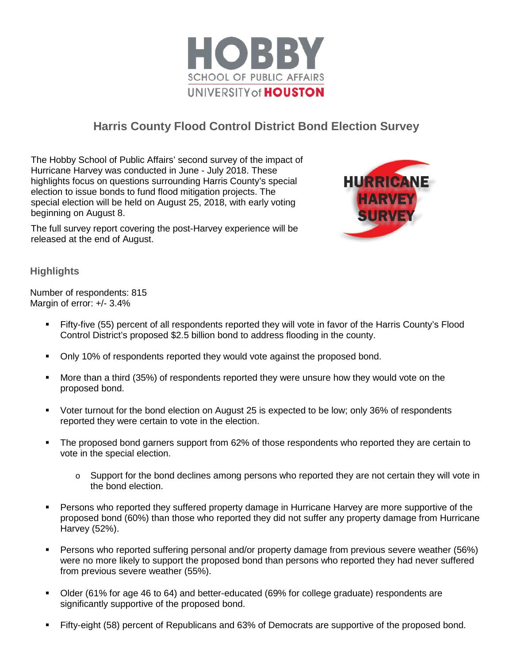

# **Harris County Flood Control District Bond Election Survey**

The Hobby School of Public Affairs' second survey of the impact of Hurricane Harvey was conducted in June - July 2018. These highlights focus on questions surrounding Harris County's special election to issue bonds to fund flood mitigation projects. The special election will be held on August 25, 2018, with early voting beginning on August 8.

The full survey report covering the post-Harvey experience will be released at the end of August.



# **Highlights**

Number of respondents: 815 Margin of error: +/- 3.4%

- Fifty-five (55) percent of all respondents reported they will vote in favor of the Harris County's Flood Control District's proposed \$2.5 billion bond to address flooding in the county.
- Only 10% of respondents reported they would vote against the proposed bond.
- More than a third (35%) of respondents reported they were unsure how they would vote on the proposed bond.
- **•** Voter turnout for the bond election on August 25 is expected to be low; only 36% of respondents reported they were certain to vote in the election.
- The proposed bond garners support from 62% of those respondents who reported they are certain to vote in the special election.
	- $\circ$  Support for the bond declines among persons who reported they are not certain they will vote in the bond election.
- Persons who reported they suffered property damage in Hurricane Harvey are more supportive of the proposed bond (60%) than those who reported they did not suffer any property damage from Hurricane Harvey (52%).
- Persons who reported suffering personal and/or property damage from previous severe weather (56%) were no more likely to support the proposed bond than persons who reported they had never suffered from previous severe weather (55%).
- Older (61% for age 46 to 64) and better-educated (69% for college graduate) respondents are significantly supportive of the proposed bond.
- Fifty-eight (58) percent of Republicans and 63% of Democrats are supportive of the proposed bond.